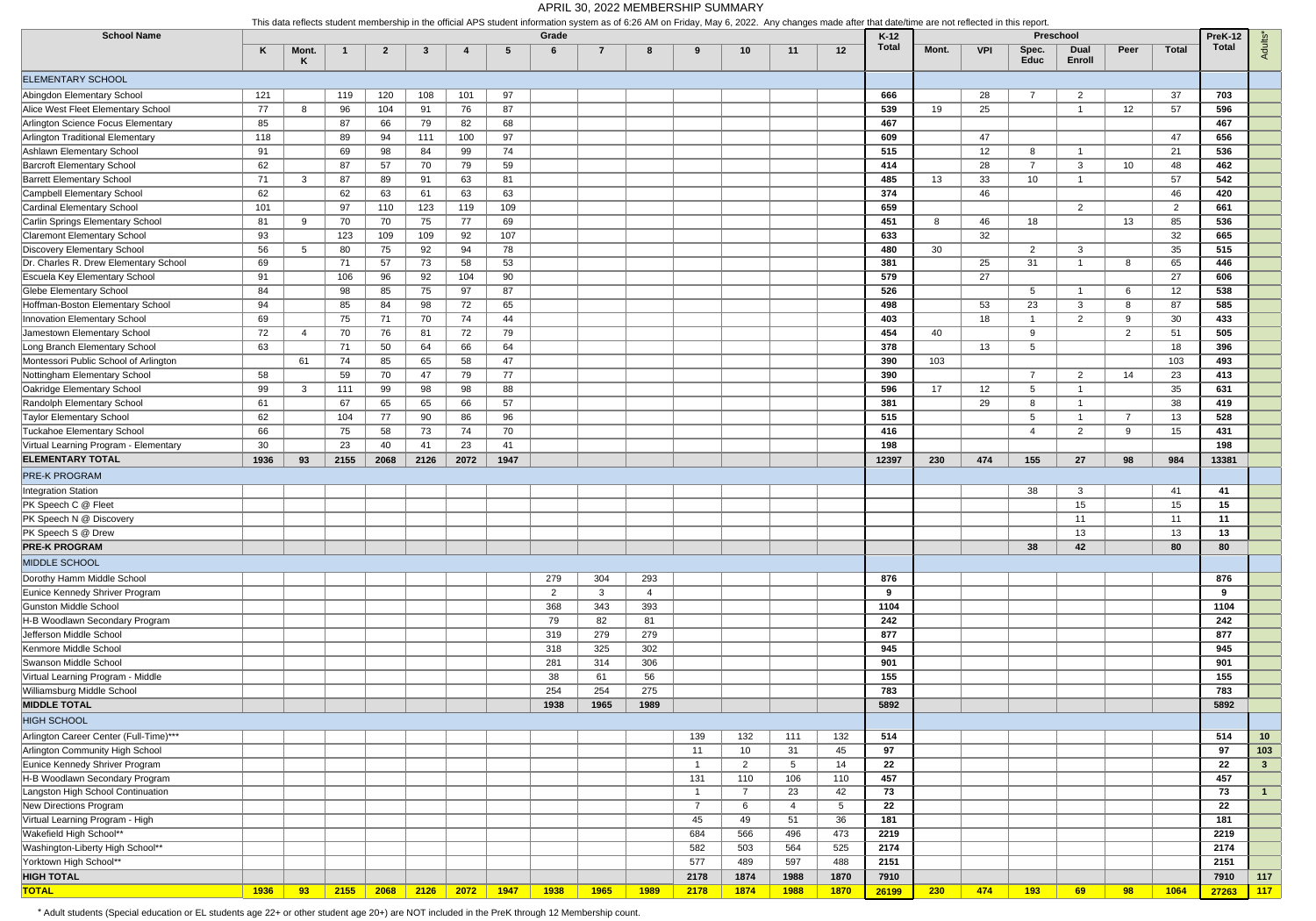| <b>School Name</b>                                                  |      | This data reflects student membership in the official APS student information system as of 6.26 AM on Friday, May 6, 2022. Any changes made after that date/lime are not reflected in this report |      |                |      |      |      |            |                |                |                |                 |             |             |                        |       |                 |                      |                                    |                 |                |                  |                     |
|---------------------------------------------------------------------|------|---------------------------------------------------------------------------------------------------------------------------------------------------------------------------------------------------|------|----------------|------|------|------|------------|----------------|----------------|----------------|-----------------|-------------|-------------|------------------------|-------|-----------------|----------------------|------------------------------------|-----------------|----------------|------------------|---------------------|
|                                                                     | Κ    | Mont.<br>K                                                                                                                                                                                        |      | $\overline{2}$ | 3    | 4    | -5   | Grade<br>6 | $\overline{7}$ | 8              | 9              | 10              | 11          | 12          | $K-12$<br><b>Total</b> | Mont. | <b>VPI</b>      | Spec.<br><b>Educ</b> | Preschool<br><b>Dual</b><br>Enroll | Peer            | <b>Total</b>   | PreK-12<br>Total | Adults <sup>*</sup> |
| ELEMENTARY SCHOOL                                                   |      |                                                                                                                                                                                                   |      |                |      |      |      |            |                |                |                |                 |             |             |                        |       |                 |                      |                                    |                 |                |                  |                     |
| Abingdon Elementary School                                          | 121  |                                                                                                                                                                                                   | 119  | 120            | 108  | 101  | 97   |            |                |                |                |                 |             |             | 666                    |       | 28              | $\overline{7}$       | 2                                  |                 | 37             | 703              |                     |
| Alice West Fleet Elementary School                                  | 77   | -8                                                                                                                                                                                                | 96   | 104            | 91   | 76   | 87   |            |                |                |                |                 |             |             | 539                    | 19    | 25              |                      | -1                                 | 12 <sup>°</sup> | 57             | 596              |                     |
| Arlington Science Focus Elementary                                  | 85   |                                                                                                                                                                                                   | 87   | 66             | 79   | 82   | 68   |            |                |                |                |                 |             |             | 467                    |       |                 |                      |                                    |                 |                | 467              |                     |
| Arlington Traditional Elementary                                    | 118  |                                                                                                                                                                                                   | 89   | 94             | 111  | 100  | 97   |            |                |                |                |                 |             |             | 609                    |       | 47              |                      |                                    |                 | 47             | 656              |                     |
| Ashlawn Elementary School                                           | 91   |                                                                                                                                                                                                   | 69   | 98             | 84   | 99   | 74   |            |                |                |                |                 |             |             | 515                    |       | 12 <sup>2</sup> | 8                    | - 1                                |                 | 21             | 536              |                     |
| <b>Barcroft Elementary School</b>                                   | 62   |                                                                                                                                                                                                   | 87   | 57             | 70   | 79   | 59   |            |                |                |                |                 |             |             | 414                    |       | 28              | $\overline{7}$       | 3                                  | 10 <sup>°</sup> | 48             | 462              |                     |
| <b>Barrett Elementary School</b>                                    | 71   | -3                                                                                                                                                                                                | 87   | 89             | 91   | 63   | 81   |            |                |                |                |                 |             |             | 485                    | 13    | 33              | 10                   | $\overline{\mathbf{1}}$            |                 | 57             | 542              |                     |
| Campbell Elementary School                                          | 62   |                                                                                                                                                                                                   | 62   | 63             | 61   | 63   | 63   |            |                |                |                |                 |             |             | 374                    |       | 46              |                      |                                    |                 | 46             | 420              |                     |
| Cardinal Elementary School                                          | 101  |                                                                                                                                                                                                   | 97   | 110            | 123  | 119  | 109  |            |                |                |                |                 |             |             | 659                    |       |                 |                      | 2                                  |                 | $\overline{2}$ | 661              |                     |
| Carlin Springs Elementary School                                    | 81   | -9                                                                                                                                                                                                | 70   | 70             | 75   | 77   | 69   |            |                |                |                |                 |             |             | 451                    | 8     | 46              | 18                   |                                    | 13              | 85             | 536              |                     |
| <b>Claremont Elementary School</b>                                  | 93   |                                                                                                                                                                                                   | 123  | 109            | 109  | 92   | 107  |            |                |                |                |                 |             |             | 633                    |       | 32              |                      |                                    |                 | 32             | 665              |                     |
| Discovery Elementary School                                         | 56   | 5                                                                                                                                                                                                 | 80   | 75             | 92   | 94   | 78   |            |                |                |                |                 |             |             | 480                    | 30    |                 | $\overline{2}$       | 3                                  |                 | 35             | 515              |                     |
| Dr. Charles R. Drew Elementary School                               | 69   |                                                                                                                                                                                                   | 71   | 57             | 73   | 58   | 53   |            |                |                |                |                 |             |             | 381                    |       | 25              | 31                   | - 1                                | -8              | 65             | 446              |                     |
| <b>Escuela Key Elementary School</b>                                | 91   |                                                                                                                                                                                                   | 106  | 96             | 92   | 104  | 90   |            |                |                |                |                 |             |             | 579                    |       | 27              |                      |                                    |                 | 27             | 606              |                     |
| <b>Glebe Elementary School</b>                                      | 84   |                                                                                                                                                                                                   | 98   | 85             | 75   | 97   | 87   |            |                |                |                |                 |             |             | 526                    |       |                 | $5^{\circ}$          | - 1                                | - 6             | 12             | 538              |                     |
| Hoffman-Boston Elementary School                                    | 94   |                                                                                                                                                                                                   | 85   | 84             | 98   | 72   | 65   |            |                |                |                |                 |             |             | 498                    |       | 53              | 23                   | 3                                  | -8              | 87             | 585              |                     |
| Innovation Elementary School                                        | 69   |                                                                                                                                                                                                   | 75   | 71             | 70   | 74   | 44   |            |                |                |                |                 |             |             | 403                    |       | 18              | $\mathbf{1}$         | $\overline{2}$                     | 9               | 30             | 433              |                     |
| Jamestown Elementary School                                         | 72   | 4                                                                                                                                                                                                 | 70   | 76             | 81   | 72   | 79   |            |                |                |                |                 |             |             | 454                    | 40    |                 | 9                    |                                    | $\overline{2}$  | 51             | 505              |                     |
| Long Branch Elementary School                                       | 63   |                                                                                                                                                                                                   | 71   | 50             | 64   | 66   | 64   |            |                |                |                |                 |             |             | 378                    |       | 13              | $5\overline{)}$      |                                    |                 | 18             | 396              |                     |
| Montessori Public School of Arlington                               |      | 61                                                                                                                                                                                                | 74   | 85             | 65   | 58   | 47   |            |                |                |                |                 |             |             | 390                    | 103   |                 |                      |                                    |                 | 103            | 493              |                     |
|                                                                     |      |                                                                                                                                                                                                   |      |                | 47   |      |      |            |                |                |                |                 |             |             |                        |       |                 | $\overline{7}$       | 2                                  |                 |                |                  |                     |
| Nottingham Elementary School                                        | 58   |                                                                                                                                                                                                   | 59   | 70             |      | 79   | 77   |            |                |                |                |                 |             |             | 390<br>596             |       |                 |                      | - 1                                | 14              | 23             | 413<br>631       |                     |
| Oakridge Elementary School                                          | 99   | $\mathbf{3}$                                                                                                                                                                                      | 111  | 99             | 98   | 98   | 88   |            |                |                |                |                 |             |             |                        | 17    | 12 <sup>2</sup> | $5\overline{)}$      | - 1                                |                 | 35             |                  |                     |
| Randolph Elementary School                                          | 61   |                                                                                                                                                                                                   | 67   | 65             | 65   | 66   | 57   |            |                |                |                |                 |             |             | 381                    |       | 29              | 8                    | - 1                                |                 | 38             | 419              |                     |
| <b>Taylor Elementary School</b>                                     | 62   |                                                                                                                                                                                                   | 104  | 77             | 90   | 86   | 96   |            |                |                |                |                 |             |             | 515                    |       |                 | $5\overline{)}$      |                                    | 7               | 13             | 528              |                     |
| <b>Tuckahoe Elementary School</b>                                   | 66   |                                                                                                                                                                                                   | 75   | 58             | 73   | 74   | 70   |            |                |                |                |                 |             |             | 416                    |       |                 | 4                    | $\overline{2}$                     | 9               | 15             | 431              |                     |
| Virtual Learning Program - Elementary                               | 30   |                                                                                                                                                                                                   | 23   | 40             | 41   | 23   | 41   |            |                |                |                |                 |             |             | 198                    |       |                 |                      |                                    |                 |                | 198              |                     |
| <b>ELEMENTARY TOTAL</b>                                             | 1936 | 93                                                                                                                                                                                                | 2155 | 2068           | 2126 | 2072 | 1947 |            |                |                |                |                 |             |             | 12397                  | 230   | 474             | 155                  | 27                                 | 98              | 984            | 13381            |                     |
| <b>PRE-K PROGRAM</b>                                                |      |                                                                                                                                                                                                   |      |                |      |      |      |            |                |                |                |                 |             |             |                        |       |                 |                      |                                    |                 |                |                  |                     |
| Integration Station                                                 |      |                                                                                                                                                                                                   |      |                |      |      |      |            |                |                |                |                 |             |             |                        |       |                 | 38                   | 3                                  |                 | 41             | 41               |                     |
| PK Speech C @ Fleet                                                 |      |                                                                                                                                                                                                   |      |                |      |      |      |            |                |                |                |                 |             |             |                        |       |                 |                      | 15                                 |                 | 15             | 15               |                     |
| PK Speech N @ Discovery                                             |      |                                                                                                                                                                                                   |      |                |      |      |      |            |                |                |                |                 |             |             |                        |       |                 |                      | 11                                 |                 | 11             | 11               |                     |
| PK Speech S @ Drew                                                  |      |                                                                                                                                                                                                   |      |                |      |      |      |            |                |                |                |                 |             |             |                        |       |                 |                      | 13                                 |                 | 13             | 13               |                     |
| <b>PRE-K PROGRAM</b>                                                |      |                                                                                                                                                                                                   |      |                |      |      |      |            |                |                |                |                 |             |             |                        |       |                 | 38                   | 42                                 |                 | 80             | 80               |                     |
| MIDDLE SCHOOL                                                       |      |                                                                                                                                                                                                   |      |                |      |      |      |            |                |                |                |                 |             |             |                        |       |                 |                      |                                    |                 |                |                  |                     |
| Dorothy Hamm Middle School                                          |      |                                                                                                                                                                                                   |      |                |      |      |      | 279        | 304            | 293            |                |                 |             |             | 876                    |       |                 |                      |                                    |                 |                | 876              |                     |
| Eunice Kennedy Shriver Program                                      |      |                                                                                                                                                                                                   |      |                |      |      |      | 2          | $\mathbf{3}$   | $\overline{4}$ |                |                 |             |             | 9                      |       |                 |                      |                                    |                 |                | 9                |                     |
| <b>Gunston Middle School</b>                                        |      |                                                                                                                                                                                                   |      |                |      |      |      | 368        | 343            | 393            |                |                 |             |             | 1104                   |       |                 |                      |                                    |                 |                | 1104             |                     |
| H-B Woodlawn Secondary Program                                      |      |                                                                                                                                                                                                   |      |                |      |      |      | 79         | 82             | 81             |                |                 |             |             | 242                    |       |                 |                      |                                    |                 |                | 242              |                     |
| Jefferson Middle School                                             |      |                                                                                                                                                                                                   |      |                |      |      |      | 319        | 279            | 279            |                |                 |             |             | 877                    |       |                 |                      |                                    |                 |                | 877              |                     |
| Kenmore Middle School                                               |      |                                                                                                                                                                                                   |      |                |      |      |      | 318        | 325            | 302            |                |                 |             |             | 945                    |       |                 |                      |                                    |                 |                | 945              |                     |
| Swanson Middle School                                               |      |                                                                                                                                                                                                   |      |                |      |      |      | 281        | 314            | 306            |                |                 |             |             | 901                    |       |                 |                      |                                    |                 |                | 901              |                     |
| Virtual Learning Program - Middle                                   |      |                                                                                                                                                                                                   |      |                |      |      |      | 38         | 61             | 56             |                |                 |             |             | 155                    |       |                 |                      |                                    |                 |                | 155              |                     |
| Williamsburg Middle School                                          |      |                                                                                                                                                                                                   |      |                |      |      |      | 254        | 254            | 275            |                |                 |             |             | 783                    |       |                 |                      |                                    |                 |                | 783              |                     |
| <b>MIDDLE TOTAL</b>                                                 |      |                                                                                                                                                                                                   |      |                |      |      |      | 1938       | 1965           | 1989           |                |                 |             |             | 5892                   |       |                 |                      |                                    |                 |                | 5892             |                     |
| <b>HIGH SCHOOL</b>                                                  |      |                                                                                                                                                                                                   |      |                |      |      |      |            |                |                |                |                 |             |             |                        |       |                 |                      |                                    |                 |                |                  |                     |
| Arlington Career Center (Full-Time)***                              |      |                                                                                                                                                                                                   |      |                |      |      |      |            |                |                | 139            | 132             | 111         | 132         | 514                    |       |                 |                      |                                    |                 |                | 514              | 10                  |
| Arlington Community High School                                     |      |                                                                                                                                                                                                   |      |                |      |      |      |            |                |                | 11             |                 |             |             | 97                     |       |                 |                      |                                    |                 |                | 97               |                     |
| Eunice Kennedy Shriver Program                                      |      |                                                                                                                                                                                                   |      |                |      |      |      |            |                |                |                | 10 <sup>°</sup> | 31          | 45<br>14    |                        |       |                 |                      |                                    |                 |                |                  | 103                 |
|                                                                     |      |                                                                                                                                                                                                   |      |                |      |      |      |            |                |                | $\mathbf{1}$   | $\overline{2}$  | 5           |             | 22                     |       |                 |                      |                                    |                 |                | 22               | $\mathbf{3}$        |
| H-B Woodlawn Secondary Program<br>Langston High School Continuation |      |                                                                                                                                                                                                   |      |                |      |      |      |            |                |                | 131            | 110<br>7        | 106         | 110         | 457                    |       |                 |                      |                                    |                 |                | 457              |                     |
|                                                                     |      |                                                                                                                                                                                                   |      |                |      |      |      |            |                |                | $\overline{1}$ |                 | 23          | 42          | 73                     |       |                 |                      |                                    |                 |                | 73               | 1                   |
| New Directions Program                                              |      |                                                                                                                                                                                                   |      |                |      |      |      |            |                |                | $\overline{7}$ | 6               | 4           | 5           | 22                     |       |                 |                      |                                    |                 |                | 22               |                     |
| Virtual Learning Program - High                                     |      |                                                                                                                                                                                                   |      |                |      |      |      |            |                |                | 45             | 49              | 51          | 36          | 181                    |       |                 |                      |                                    |                 |                | 181              |                     |
| Wakefield High School**                                             |      |                                                                                                                                                                                                   |      |                |      |      |      |            |                |                | 684            | 566             | 496         | 473         | 2219                   |       |                 |                      |                                    |                 |                | 2219             |                     |
| Washington-Liberty High School**                                    |      |                                                                                                                                                                                                   |      |                |      |      |      |            |                |                | 582            | 503             | 564         | 525         | 2174                   |       |                 |                      |                                    |                 |                | 2174             |                     |
| Yorktown High School**                                              |      |                                                                                                                                                                                                   |      |                |      |      |      |            |                |                | 577            | 489             | 597         | 488         | 2151                   |       |                 |                      |                                    |                 |                | 2151             |                     |
| <b>HIGH TOTAL</b>                                                   |      |                                                                                                                                                                                                   |      |                |      |      |      |            |                |                | 2178           | 1874            | 1988        | 1870        | 7910                   |       |                 |                      |                                    |                 |                | 7910             | 117                 |
| <b>TOTAL</b>                                                        | 1936 | 93                                                                                                                                                                                                | 2155 | 2068           | 2126 | 2072 | 1947 | 1938       | 1965           | <b>1989</b>    | 2178           | 1874            | <b>1988</b> | <b>1870</b> | 26199                  | 230   | 474             | 193                  | 69                                 | 98              | 1064           | 27263            | 117                 |

\* Adult students (Special education or EL students age 22+ or other student age 20+) are NOT included in the PreK through 12 Membership count.

## APRIL 30, 2022 MEMBERSHIP SUMMARY

This data reflects student membership in the official APS student information system as of 6:26 AM on Friday, May 6, 2022. Any changes made after that date/time are not reflected in this report.